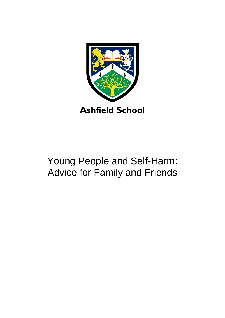

# Young People and Self-Harm: Advice for Family and Friends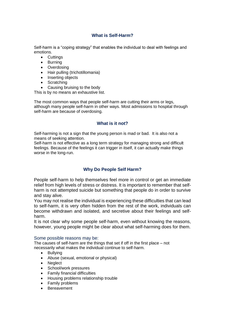#### **What is Self-Harm?**

Self-harm is a "coping strategy" that enables the individual to deal with feelings and emotions.

- Cuttings
- Burning
- Overdosing
- Hair pulling (trichotillomania)
- Inserting objects
- Scratching
- Causing bruising to the body

This is by no means an exhaustive list.

The most common ways that people self-harm are cutting their arms or legs, although many people self-harm in other ways. Most admissions to hospital through self-harm are because of overdosing.

#### **What is it not?**

Self-harming is not a sign that the young person is mad or bad. It is also not a means of seeking attention.

Self-harm is not effective as a long term strategy for managing strong and difficult feelings. Because of the feelings it can trigger in itself, it can actually make things worse in the long-run.

### **Why Do People Self Harm?**

People self-harm to help themselves feel more in control or get an immediate relief from high levels of stress or distress. It is important to remember that selfharm is not attempted suicide but something that people do in order to survive and stay alive.

You may not realise the individual is experiencing these difficulties that can lead to self-harm, it is very often hidden from the rest of the work, individuals can become withdrawn and isolated, and secretive about their feelings and selfharm.

It is not clear why some people self-harm, even without knowing the reasons, however, young people might be clear about what self-harming does for them.

#### Some possible reasons may be:

The causes of self-harm are the things that set if off in the first place – not necessarily what makes the individual continue to self-harm.

- Bullying
- Abuse (sexual, emotional or physical)
- Neglect
- School/work pressures
- Family financial difficulties
- Housing problems relationship trouble
- Family problems
- Bereavement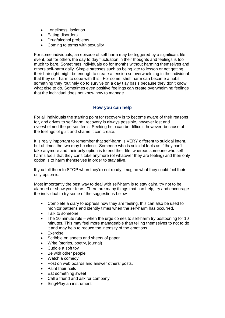- Loneliness. isolation
- Eating disorders
- Drug/alcohol problems
- Coming to terms with sexuality

For some individuals, an episode of self-harm may be triggered by a significant life event, but for others the day to day fluctuation in their thoughts and feelings is too much to bare, Sometimes individuals go for months without harming themselves and others self-harm daily. Simple stresses such as being late to lesson or not getting their hair right might be enough to create a tension so overwhelming in the individual that they self-harm to cope with this. For some, shelf harm can became a habit; something they routinely do to survive on a day t ay basis because they don't know what else to do. Sometimes even positive feelings can create overwhelming feelings that the individual does not know how to manage.

### **How you can help**

For all individuals the starting point for recovery is to become aware of their reasons for, and drives to self-harm, recovery is always possible, however lost and overwhelmed the person feels. Seeking help can be difficult, however, because of the feelings of guilt and shame it can create.

It is really important to remember that self-harm is VERY different to suicidal intent, but at times the two may be close. Someone who is suicidal feels as if they can't take anymore and their only option is to end their life, whereas someone who selfharms feels that they can't take anymore (of whatever they are feeling) and their only option is to harm themselves in order to stay alive.

If you tell them to STOP when they're not ready, imagine what they could feel their only option is.

Most importantly the best way to deal with self-harm is to stay calm, try not to be alarmed or show your fears. There are many things that can help, try and encourage the individual to try some of the suggestions below:

- Complete a diary to express how they are feeling, this can also be used to monitor patterns and identify times when the self-harm has occurred.
- Talk to someone
- The 10 minute rule when the urge comes to self-harm try postponing for 10 minutes. This may feel more manageable than telling themselves to not to do it and may help to reduce the intensity of the emotions.
- Exercise
- Scribble on sheets and sheets of paper
- Write (stories, poetry, journal)
- Cuddle a soft toy
- Be with other people
- Watch a comedy
- Post on web boards and answer others' posts.
- Paint their nails
- Eat something sweet
- Call a friend and ask for company
- Sing/Play an instrument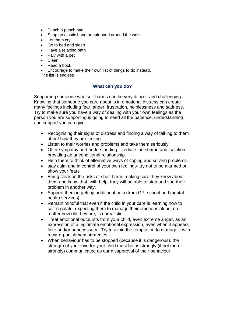- Punch a punch bag
- Snap an elastic band or hair band around the wrist
- Let them cry
- Go to bed and sleep
- Have a relaxing bath
- Paly with a pet
- Clean
- Read a book

• Encourage to make their own list of things to do instead. The list is endless

#### **What can you do?**

Supporting someone who self-harms can be very difficult and challenging. Knowing that someone you care about is in emotional distress can create many feelings including fear, anger, frustration, helplessness and sadness. Try to make sure you have a way of dealing with your own feelings as the person you are supporting is going to need all the patience, understanding and support you can give.

- Recognising their signs of distress and finding a way of talking to them about how they are feeling.
- Listen to their worries and problems and take them seriously.
- Offer sympathy and understanding reduce the shame and isolation providing an unconditional relationship.
- Help them to think of alternative ways of coping and solving problems.
- stay calm and in control of your own feelings- try not to be alarmed or show your fears
- Being clear on the risks of shelf harm, making sure they know about them and know that, with help, they will be able to stop and sort their problem in another way.
- Support them in getting additional help (from GP, school and mental health services).
- Remain mindful that even if the child in your care is learning how to self-regulate, expecting them to manage their emotions alone, no matter how old they are, is unrealistic.
- Treat emotional outbursts from your child, even extreme anger, as an expression of a legitimate emotional expression, even when it appears fake and/or unnecessary. Try to avoid the temptation to manage it with reward-punishment strategies.
- When behaviour has to be stopped (because it is dangerous), the strength of your love for your child must be as strongly (if not more strongly) communicated as our disapproval of their behaviour.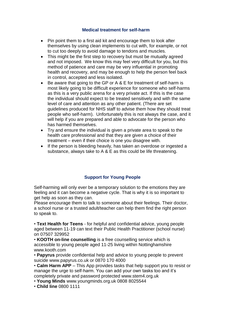#### **Medical treatment for self-harm**

- Pin point them to a first aid kit and encourage them to look after themselves by using clean implements to cut with, for example, or not to cut too deeply to avoid damage to tendons and muscles.
- This might be the first step to recovery but must be mutually agreed and not imposed. We know this may feel very difficult for you, but this method of patience and care may be very influential in promoting health and recovery, and may be enough to help the person feel back in control, accepted and less isolated.
- Be aware that going to the GP or A & E for treatment of self-harm is most likely going to be difficult experience for someone who self-harms as this is a very public arena for a very private act. If this is the case the individual should expect to be treated sensitively and with the same level of care and attention as any other patient. (There are set guidelines produced for NHS staff to advise them how they should treat people who self-harm). Unfortunately this is not always the case, and it will help if you are prepared and able to advocate for the person who has harmed themselves.
- Try and ensure the individual is given a private area to speak to the health care professional and that they are given a choice of their treatment – even if their choice is one you disagree with.
- If the person is bleeding heavily, has taken an overdose or ingested a substance, always take to A & E as this could be life threatening.

### **Support for Young People**

Self-harming will only ever be a temporary solution to the emotions they are feeling and it can become a negative cycle. That is why it is so important to get help as soon as they can.

Please encourage them to talk to someone about their feelings. Their doctor, a school nurse or a trusted adult/teacher can help them find the right person to speak to.

• **Text Health for Teens** - for helpful and confidential advice, young people aged between 11-19 can text their Public Health Practitioner (school nurse) on 07507 329952

• **KOOTH on-line counselling** is a free counselling service which is accessible to young people aged 11-25 living within Nottinghamshire www.kooth.com

• **Papyrus** provide confidential help and advice to young people to prevent suicide www.papyrus.co.uk or 0870 170 4000

• **Calm Harm APP** – This App provides tasks that help support you to resist or manage the urge to self-harm. You can add your own tasks too and it's completely private and password protected www.stem4.org.uk

• **Young Minds** www.youngminds.org.uk 0808 8025544

• **Child line** 0800 1111